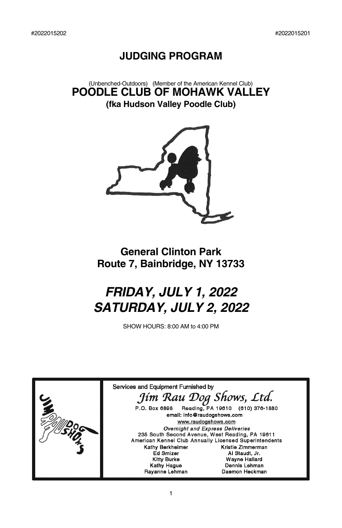## **JUDGING PROGRAM**

(Unbenched-Outdoors) (Member of the American Kennel Club) **POODLE CLUB OF MOHAWK VALLEY (fka Hudson Valley Poodle Club)**



# **General Clinton Park Route 7, Bainbridge, NY 13733**

# *FRIDAY, JULY 1, 2022 SATURDAY, JULY 2, 2022*

SHOW HOURS: 8:00 AM to 4:00 PM

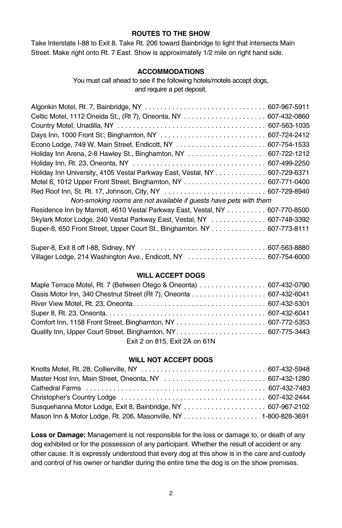#### **ROUTES TO THE SHOW**

Take Interstate I-88 to Exit 8. Take Rt. 206 toward Bainbridge to light that intersects Main Street. Make right onto Rt. 7 East. Show is approximately 1/2 mile on right hand side.

#### **ACCOMMODATIONS**

#### You must call ahead to see if the following hotels/motels accept dogs, and require a pet deposit.

| Holiday Inn Arena, 2-8 Hawley St., Binghamton, NY                            | 607-722-1212 |
|------------------------------------------------------------------------------|--------------|
|                                                                              |              |
| Holiday Inn University, 4105 Vestal Parkway East, Vestal, NY 607-729-6371    |              |
|                                                                              |              |
|                                                                              |              |
| Non-smoking rooms are not available if guests have pets with them            |              |
| Residence Inn by Marriott, 4610 Vestal Parkway East, Vestal, NY 607-770-8500 |              |
| Skylark Motor Lodge, 240 Vestal Parkway East, Vestal, NY  607-748-3392       |              |
| Super-8, 650 Front Street, Upper Court St., Binghamton. NY 607-773-8111      |              |
|                                                                              |              |

#### **WILL ACCEPT DOGS**

Villager Lodge, 214 Washington Ave., Endicott, NY . . . . . . . . . . . . . . . . . . . . 607-754-6000

| Maple Terrace Motel, Rt. 7 (Between Otego & Oneonta) 607-432-0790 |  |
|-------------------------------------------------------------------|--|
| Oasis Motor Inn, 340 Chestnut Street (Rt 7), Oneonta 607-432-6041 |  |
|                                                                   |  |
|                                                                   |  |
|                                                                   |  |
|                                                                   |  |
| Exit 2 on 815, Exit 2A on 61N                                     |  |

#### **WILL NOT ACCEPT DOGS**

| Mason Inn & Motor Lodge, Rt. 206, Masonville, NY 1-800-828-3691 |  |
|-----------------------------------------------------------------|--|

**Loss or Damage:** Management is not responsible for the loss or damage to, or death of any dog exhibited or for the possession of any participant. Whether the result of accident or any other cause. It is expressly understood that every dog at this show is in the care and custody and control of his owner or handler during the entire time the dog is on the show premises.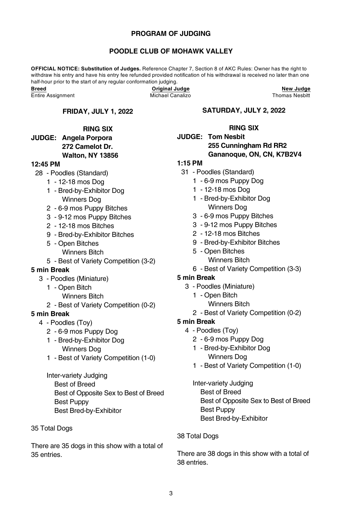#### **PROGRAM OF JUDGING**

#### **POODLE CLUB OF MOHAWK VALLEY**

**OFFICIAL NOTICE: Substitution of Judges.** Reference Chapter 7, Section 8 of AKC Rules: Owner has the right to withdraw his entry and have his entry fee refunded provided notification of his withdrawal is received no later than one half-hour prior to the start of any regular conformation judging.<br>Breed **Original Ju** 

Entire Assignment

#### **FRIDAY, JULY 1, 2022**

#### **RING SIX**

#### **JUDGE: Angela Porpora 272 Camelot Dr. Walton, NY 13856**

#### **12:45 PM**

- 28 Poodles (Standard)
	- 1 12-18 mos Dog
	- 1 Bred-by-Exhibitor Dog Winners Dog
	- 2 6-9 mos Puppy Bitches
	- 3 9-12 mos Puppy Bitches
	- 2 12-18 mos Bitches
	- 9 Bred-by-Exhibitor Bitches
	- 5 Open Bitches Winners Bitch
	- 5 Best of Variety Competition (3-2)
	-

#### **5 min Break**

- 3 Poodles (Miniature)
	- 1 Open Bitch
		- Winners Bitch
	- 2 Best of Variety Competition (0-2)

#### **5 min Break**

- 4 Poodles (Toy)
	- 2 6-9 mos Puppy Dog
	- 1 Bred-by-Exhibitor Dog Winners Dog
	- 1 Best of Variety Competition (1-0)

Inter-variety Judging Best of Breed Best of Opposite Sex to Best of Breed Best Puppy Best Bred-by-Exhibitor

35 Total Dogs

There are 35 dogs in this show with a total of 35 entries.

#### **SATURDAY, JULY 2, 2022**

**Briginal Judge**<br>
Michael Canalizo<br> **Breed Canalizo**<br> **Breed Canalizo**<br> **Breed Canalizo** 

#### **RING SIX**

#### **JUDGE: Tom Nesbit 255 Cunningham Rd RR2 Gananoque, ON, CN, K7B2V4**

### **1:15 PM**

- 31 Poodles (Standard)
	- 1 6-9 mos Puppy Dog
	- 1 12-18 mos Dog
	- 1 Bred-by-Exhibitor Dog Winners Dog
	- 3 6-9 mos Puppy Bitches
	- 3 9-12 mos Puppy Bitches
	- 2 12-18 mos Bitches
	- 9 Bred-by-Exhibitor Bitches
	- 5 Open Bitches Winners Bitch
	- 6 Best of Variety Competition (3-3)
- **5 min Break**
	- 3 Poodles (Miniature)
		- 1 Open Bitch
			- Winners Bitch
		- 2 Best of Variety Competition (0-2)

#### **5 min Break**

- 4 Poodles (Toy)
	- 2 6-9 mos Puppy Dog
	- 1 Bred-by-Exhibitor Dog Winners Dog
	- 1 Best of Variety Competition (1-0)

Inter-variety Judging Best of Breed Best of Opposite Sex to Best of Breed Best Puppy Best Bred-by-Exhibitor

#### 38 Total Dogs

There are 38 dogs in this show with a total of 38 entries.